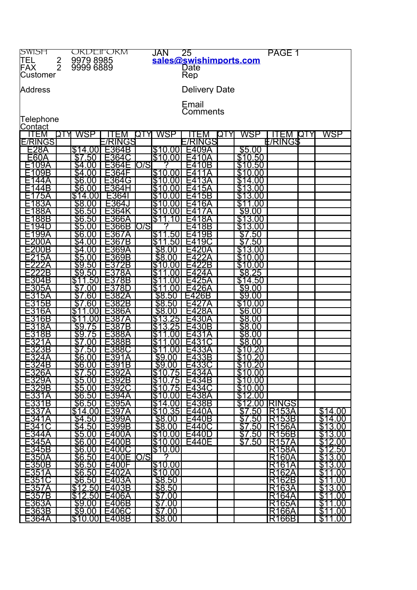| <b>SWISH</b>          |               | ORDEIFORM              |                       | JAN                |     | $\overline{25}$      |                         | PAGE 1         |             |                           |
|-----------------------|---------------|------------------------|-----------------------|--------------------|-----|----------------------|-------------------------|----------------|-------------|---------------------------|
| <b>TEL</b>            |               |                        |                       |                    |     |                      | sales@swishimports.com  |                |             |                           |
| FAX                   | $\frac{2}{2}$ | 9979 8985<br>9999 6889 |                       |                    |     | Date                 |                         |                |             |                           |
| Customer              |               |                        |                       |                    |     | Rep                  |                         |                |             |                           |
|                       |               |                        |                       |                    |     |                      |                         |                |             |                           |
| Address               |               |                        |                       |                    |     | <b>Delivery Date</b> |                         |                |             |                           |
|                       |               |                        |                       |                    |     |                      |                         |                |             |                           |
|                       |               |                        |                       |                    |     |                      |                         |                |             |                           |
|                       |               |                        |                       |                    |     | Email                |                         |                |             |                           |
|                       |               |                        |                       |                    |     | Comments             |                         |                |             |                           |
| Telephone             |               |                        |                       |                    |     |                      |                         |                |             |                           |
| Contact               |               |                        |                       |                    |     |                      |                         |                |             |                           |
| ITEM                  | אדס           | WSP                    |                       | WSP<br>QTY         |     |                      | WSP<br>QTY              | ЕM             | <b>IOTY</b> | WSP                       |
| <b>E/RINGS</b>        |               |                        | E/RINGS               |                    |     | E/RINGS              |                         | <b>E/RINGS</b> |             |                           |
| <u>E28A</u>           |               | \$14.00                | E364B                 | \$10.00            |     | -409A                | \$5.00                  |                |             |                           |
| E60A                  |               | <u>\$7.50</u>          | E364C                 | \$10               | .00 |                      | \$10.50                 |                |             |                           |
| E109A                 |               | \$4.00                 | 364                   | D/S                |     | 0B<br>٠4             | 10.50                   |                |             |                           |
| E109B                 |               | $\overline{34.00}$     | E364F                 | \$10.00            |     | -4<br>1<br>A         | \$<br>.00<br>10         |                |             |                           |
| 44A                   |               | \$6.00                 | E364G                 | \$10               | .00 | E413A                | \$14.00                 |                |             |                           |
| 44B                   |               | \$6.00                 | E364H                 | \$10               | OO  | 5A<br>-4             | \$13<br>.00             |                |             |                           |
| 75A                   |               | \$14.00                | E364l                 | \$<br>10           | 00  | E415B                | \$13<br>.00             |                |             |                           |
| ∣83A                  |               | \$8.00                 |                       |                    | 00  | 6A<br>۰4             | S<br>00                 |                |             |                           |
| 88A                   |               | \$6.50                 |                       | \$10<br>\$10       |     | -4                   | \$9.00                  |                |             |                           |
|                       |               |                        |                       |                    | 00  |                      |                         |                |             |                           |
| E188B                 |               | \$6.50                 | E366A                 | \$1                | 0   | 8A<br>Н4             | \$13.00                 |                |             |                           |
| E194D                 |               | \$5.00                 | E366B                 | O/S<br>7           |     | 8B<br>-4             | \$13.00                 |                |             |                           |
| E199A                 |               | \$6.00                 | E367A                 | \$11               | .50 | =4<br>9B             | \$7.50                  |                |             |                           |
| E200A                 |               | .00                    | E367B                 | \$11               | 50  | E419C                | .50<br>\$7              |                |             |                           |
| E200B                 |               | \$4.<br>.00            | 369A                  | \$8.00             |     |                      | 3.<br>.00               |                |             |                           |
| E215A                 |               | \$5.00                 | E369B                 | \$8.00             |     | -4                   | \$10.00                 |                |             |                           |
| F222A                 |               | \$9.50                 | E3<br>72B             | \$10               | .00 | E422B                | \$10.00                 |                |             |                           |
| E222B                 |               | \$9.50                 | E378A                 | S                  | OO  | -4<br>24A            | \$8.25                  |                |             |                           |
| E304B                 |               | \$1<br>50              | E378B                 | S                  | OO  | E425A                | \$14.50                 |                |             |                           |
| E305A                 |               | იი                     | Ξ3<br>'8D             | $\$1$              | 00  | :426A                | \$9.00                  |                |             |                           |
| <u>5A</u>             |               | .60                    | 382A                  | \$8.50             |     | :426B                | \$9.00                  |                |             |                           |
| 5B                    |               | .60                    | E382B                 | \$8.50             |     | F427<br>A            | \$10.00                 |                |             |                           |
| E316A                 |               | \$1<br>00              | $\mathsf{\Xi}386$ A   | \$8.00             |     | E428A                | \$6.00                  |                |             |                           |
|                       |               |                        |                       |                    |     |                      |                         |                |             |                           |
| E316B                 |               | S                      | Ξ38                   | \$13               | 25  | 30A<br>Ξ4            | \$8.00                  |                |             |                           |
| E318A                 |               | $\overline{39}$<br>75  | E387B                 | \$13               | 25  | E430B                | \$8.00                  |                |             |                           |
| 318B                  |               | \$9<br>75              | E388A                 | \$                 | 00  | -43<br>1Α            | \$8.00                  |                |             |                           |
| 321A                  |               | .00                    | E388B                 | \$                 | 00  | 343                  | \$8.00                  |                |             |                           |
| E323B                 |               | .50                    | E388C                 | \$1                | .00 | E433A                | .20<br>\$10             |                |             |                           |
| E324A                 |               | \$6.00                 | E391A                 | \$9.00             |     | E433B                | \$10.20                 |                |             |                           |
| E324B                 |               | \$6.00                 | E391B                 | \$9.00             |     | E433C                | \$10.20                 |                |             |                           |
| E326A                 |               | \$7.50                 | E392A                 | \$10.75            |     | E434A                | \$10.00                 |                |             |                           |
|                       |               | \$5.00                 |                       |                    |     | E434B                | $\frac{$10.00}{$10.00}$ |                |             |                           |
| <u>E329A</u><br>E329B |               | \$5.00                 | <u>E392B</u><br>E392C | \$10.75<br>\$10.75 |     | E434C                |                         |                |             |                           |
| <u>E331A</u>          |               | \$6.50                 | <u>E394A</u>          | \$10.00            |     | E438A                |                         |                |             |                           |
| E331B                 |               | \$6.50                 | E395A                 | $\sqrt{314.00}$    |     | E438B                | \$12.00 RINGS           |                |             |                           |
| E337A                 |               | \$14.00                | E397A                 | \$10.35            |     | E440A                |                         | <b>R153A</b>   |             | \$14.00                   |
| E341A                 |               | \$4.50                 | E399A                 | \$8.00             |     | E440B                | $\frac{$7.50}{$7.50}$   | R153B          |             | \$14.00                   |
| E341C                 |               | \$4.50                 |                       | \$8.00             |     | E440C                |                         | R156A          |             | \$13.00                   |
|                       |               |                        | E399B                 |                    |     |                      | <u>\$7.50</u>           |                |             |                           |
| E344A                 |               | \$5.00                 | E400A                 | \$10.00            |     | E440D                | \$7.50                  | R156B          |             | \$13.00                   |
| E345A                 |               | \$6.00                 | E400B                 | \$10.00            |     | E440E                | \$7.50                  | <b>R157A</b>   |             |                           |
| E345B                 |               | \$6.00                 | E400C                 | \$10.00            |     |                      |                         | <b>R158A</b>   |             |                           |
| <u>E350A</u>          |               | \$6.50                 | E400E IO/S            | ?                  |     |                      |                         | <b>R160A</b>   |             | \$13.00                   |
| E350B                 |               | \$6.50                 | E400F                 | \$10.00            |     |                      |                         | R161A          |             | \$13.00                   |
| <u>E351A</u><br>E351C |               | \$6.50                 | E402A                 | \$10.00            |     |                      |                         | R162A          |             | <u>\$11.00</u><br>\$11.00 |
|                       |               | \$6.50                 | E403A                 | \$8.50             |     |                      |                         | <b>R162B</b>   |             |                           |
| E357A                 |               | \$12.50                | E403B                 | \$8.50             |     |                      |                         | <b>R163A</b>   |             | \$13.00                   |
| E357B                 |               | \$12.50                | E406A                 | \$7.00             |     |                      |                         | R164A          |             | \$11<br>.00               |
| E363A                 |               | \$9.00                 | E406B                 | \$7.00             |     |                      |                         | <b>R165A</b>   |             | \$11<br>$\overline{00}$   |
| E363B                 |               | \$9.00                 | E406C                 | \$7.00             |     |                      |                         | R166A          |             | \$11.00                   |
| E364A                 |               | \$10.00                | E408B                 | <u>\$8.00</u>      |     |                      |                         | R166B          |             | \$11.00                   |
|                       |               |                        |                       |                    |     |                      |                         |                |             |                           |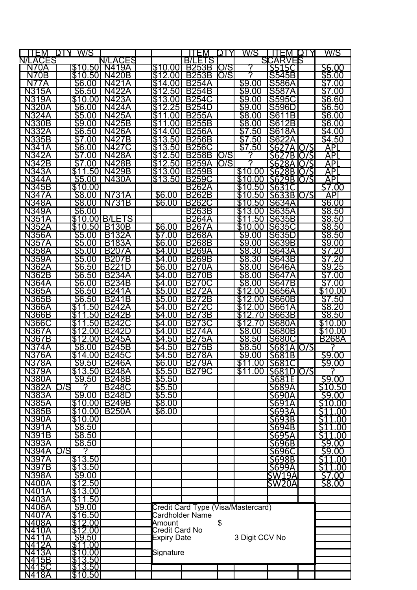| ITEM              | W/S<br>LAL.<br>D1               |                  |                          | TEM                                | ΩĪ   | W/S                     | ITEM               | I C I | W/S                     |
|-------------------|---------------------------------|------------------|--------------------------|------------------------------------|------|-------------------------|--------------------|-------|-------------------------|
| .ACES<br>N/L      |                                 | ΞS<br>J/I<br>AC. |                          | <b>BILETS</b>                      |      |                         | SICARVEIS          |       |                         |
| N70A              | \$10.50                         | N419A            | \$10<br>.00              | <b>B253B</b>                       | O/S  | 7                       | S515C              |       | S6.00                   |
| N70B              | \$10.50                         | <b>N420B</b>     | \$12.00                  | <b>B253B</b>                       | O/S  |                         | S545B              |       | \$5.00                  |
| N<br>7A           | \$6.00                          | N421A            | S<br>14<br>001           | <b>B254A</b>                       |      | \$9.00                  | <b>S586A</b>       |       | $\overline{\$7}$<br>.00 |
| <b>N315A</b>      | \$6.50                          | N422A            | \$12<br>$.50\,$          | <b>B254B</b>                       |      | \$9.00                  | <b>S587A</b>       |       | \$7<br>.00              |
| <b>N319A</b>      | \$10.<br>.00                    | N423A            | \$13<br>.OOI             | <b>B254C</b>                       |      | \$9.<br>.00             | <b>S595C</b>       |       | \$6.60                  |
| N320A             | \$6.00                          | N424A            | 25<br>\$12               | <b>B254D</b>                       |      | \$9.<br>.00             | <b>S596D</b>       |       | \$6.50                  |
| <b>N324A</b>      | \$5.00                          | <b>N425A</b>     | \$11<br>00               | <b>B255A</b>                       |      | \$8.00                  | S61<br>1B          |       | \$6.00                  |
| <b>N330B</b>      | \$9.00                          | <b>N425B</b>     | \$<br>00                 | <b>B255B</b>                       |      | \$8.00                  | S612B              |       | \$6.00                  |
| <b>N332A</b>      | \$6.50                          | <b>N426A</b>     | \$14<br>.00              | <b>B256A</b>                       |      | $\overline{\$7}$<br>.50 | <b>S618A</b>       |       | \$4.00                  |
| <b>N335B</b>      | \$7<br>.00                      | <b>N427B</b>     | \$13<br>50               | <b>B256B</b>                       |      | \$7<br>.50              | <b>S622A</b>       |       | \$4.50                  |
| <b>N341A</b>      | \$6.00                          | <b>N427C</b>     | \$13                     | <b>B256C</b>                       |      | \$7.50                  | S627A 0/S          |       | $\overline{AP}$         |
| <b>N342A</b>      | \$7.00                          |                  | .50 <sub>l</sub><br>\$12 | <b>B258B</b>                       | IO/S | ႒                       |                    |       |                         |
|                   |                                 | <b>N428A</b>     | .50                      |                                    |      | 7                       | S627B IO/S         |       | API                     |
| <b>N342B</b>      | \$7<br>.00                      | <b>N428B</b>     | \$12<br>.50 <sub>1</sub> | <b>B259A</b>                       | O/S  |                         | S628A 0/S          |       | APL                     |
| N343A             | \$11<br>.50                     | N429B            | \$13.00                  | <b>B259B</b>                       |      | \$10.00                 | S628B <b>O/S</b>   |       | API                     |
| <b>N344A</b>      | \$5.00                          | <b>N430A</b>     | \$13<br>.50 <sub>1</sub> | <b>B259C</b>                       |      | \$10.<br>.00            | S629B IO/S         |       | $\overline{API}$        |
| <b>N345B</b>      | \$10.00                         |                  |                          | <b>B262A</b>                       |      | \$10.50                 | S631C              |       | $\overline{57.00}$      |
| <b>N347A</b>      | \$8.00                          | <b>N731A</b>     | \$6.00                   | <b>B262B</b>                       |      | .50<br>10               | S633B O/S          |       | API                     |
| <b>N348A</b>      | \$8.00                          | <b>N731B</b>     | \$6.00                   | <b>B262C</b>                       |      | .50<br>10               | S634A              |       | \$6.00                  |
| <b>N349A</b>      | \$6.00                          |                  |                          | <b>B263B</b>                       |      | S<br>13.<br>.00         | <b>S635A</b>       |       | \$8.50                  |
| <b>N351A</b>      |                                 | \$10,00 B/LETS   |                          | <b>B264A</b>                       |      | \$11<br>50              | <b>S635B</b>       |       | \$8.50                  |
| <b>N352A</b>      | \$10.50                         | <b>B130B</b>     | \$6.00                   | <b>B267A</b>                       |      | \$10.00                 | <b>IS635C</b>      |       | \$8.50                  |
| <b>N356A</b>      | \$5.00                          | <b>B132A</b>     | \$7.00                   | <b>B268A</b>                       |      | \$9.00                  | <b>S635D</b>       |       | \$8.50                  |
| <b>N357A</b>      | \$5.00                          | <b>B183A</b>     | \$6.00                   | <b>B268B</b>                       |      | \$9.00                  | <b>S639B</b>       |       | \$9.00                  |
| <b>N358A</b>      | \$5.00                          | <b>B207A</b>     | \$4.00                   | <b>B269A</b>                       |      | \$8.30                  | <b>S643A</b>       |       | \$7<br>$'$ .20          |
| <b>N359A</b>      | \$5.00                          | <b>B207B</b>     | \$4.00                   | <b>B269B</b>                       |      | \$8.30                  | <b>S643B</b>       |       | .20<br>\$7              |
| N362A             | \$6.50                          | <b>B221D</b>     | \$6.00                   | B270A                              |      | \$8.00                  | <b>S646A</b>       |       | <u>\$9.25</u>           |
| <b>N362B</b>      | \$6.50                          | <b>B234A</b>     | \$4.00                   | <b>B270B</b>                       |      | \$8.00                  | <b>S647A</b>       |       | \$7.00                  |
| N364A             | \$6<br>.00                      | <b>B234B</b>     | \$4.00                   | <b>B270C</b>                       |      | $\overline{\$8}$<br>.00 | <b>S647B</b>       |       | \$7<br>.00              |
| <b>N365A</b>      | .50<br>\$6                      | <b>B241A</b>     | \$5.00                   | <b>B272A</b>                       |      | .00                     | <b>S656A</b>       |       | \$10.00                 |
| <b>N365B</b>      | \$6.50                          | <b>B241B</b>     | \$5.00                   | <b>B272B</b>                       |      | \$<br>2<br>.00          | <b>S660B</b>       |       | \$7.50                  |
| <b>N366A</b>      | \$11<br>50                      | <b>B242A</b>     | $\sqrt{34.00}$           | <b>B272C</b>                       |      | 2<br>.00                | S661A              |       | \$8.20                  |
| <b>N366B</b>      | \$1<br>.50                      | <b>B242B</b>     | \$4.00                   | <b>B273B</b>                       |      | \$12.70                 | S663B              |       | \$8.50                  |
| <b>N366C</b>      | $\overline{\$1}$<br>50          | <b>B242C</b>     | $\overline{54.00}$       | 73C<br>B <sub>2</sub>              |      | \$12<br>70              | <b>IS680A</b>      |       | \$10.00                 |
| <b>N367A</b>      | \$12<br>.00                     | <b>B242D</b>     | $\overline{5}4.00$       | B27<br>ΆΑ                          |      | \$8.00                  | <b>S680B</b>       |       | \$10.00                 |
| <b>N367B</b>      | \$12<br>.00                     | <b>B245A</b>     | \$4.50                   | <b>B275A</b>                       |      | \$8.50                  | S680C              |       | <b>B268A</b>            |
| <b>N374A</b>      | \$8.00                          | <b>B245B</b>     | \$4<br>50                | B275B                              |      | \$8.50                  | S681A IO/S         |       |                         |
| <b>N376A</b>      | \$14.00                         | <b>B245C</b>     | .50<br>\$4               | <b>B278A</b>                       |      | \$9.<br>.00             | S681B              |       |                         |
| <b>N378A</b>      | 59.50                           | <b>B246A</b>     | \$6.00                   | <b>B279A</b>                       |      |                         | \$11.00 S681C      |       | <u>\$9.00</u><br>\$9.00 |
| <b>N379A</b>      |                                 | \$13.50 B248A    | \$5.50                   | <b>B279C</b>                       |      |                         | \$11.00 S681D O/S  |       |                         |
| <b>N380A</b>      | \$9.50                          | <b>B248B</b>     | \$5.50                   |                                    |      |                         | S681E              |       | 59.00                   |
| <b>N382A</b>      | O/S                             | <b>B248C</b>     | \$5.50                   |                                    |      |                         | S689A              |       | \$10.50                 |
| <b>N383A</b>      | \$9.00                          | <b>B248D</b>     | \$5.50                   |                                    |      |                         | <b>S690A</b>       |       | \$9.00                  |
| <b>N385A</b>      | \$10.00                         | <b>B249B</b>     | \$8.00                   |                                    |      |                         | S691A              |       | S <sub>10.00</sub>      |
| <b>N385B</b>      | \$10.00                         | <b>B250A</b>     | \$6.00                   |                                    |      |                         | S693A              |       | \$11.00                 |
| <b>N390A</b>      | \$10.00                         |                  |                          |                                    |      |                         | S693B              |       | \$11.00                 |
| <u>N391A</u>      | \$8.50                          |                  |                          |                                    |      |                         | S694B              |       | \$11.00                 |
| <u>N391B</u>      | \$8.50                          |                  |                          |                                    |      |                         | S695A              |       | \$11.00                 |
| <u>N393A</u>      | \$8.50                          |                  |                          |                                    |      |                         | S696B              |       | \$9.00                  |
| <b>N394A</b>      | O/S                             |                  |                          |                                    |      |                         | S696C              |       | 59.00                   |
| <b>N397A</b>      | \$13.50                         |                  |                          |                                    |      |                         | S698B              |       | <u>511.00</u>           |
| <b>N397B</b>      | \$13.50                         |                  |                          |                                    |      |                         | S699A              |       | <b>S11.00</b>           |
| <b>N398A</b>      | \$9.00                          |                  |                          |                                    |      |                         | SW19A              |       | 57.00                   |
| N400A             | \$12.50                         |                  |                          |                                    |      |                         | SW <sub>20</sub> A |       | <u>58.00</u>            |
| <b>N401A</b>      | \$13.00                         |                  |                          |                                    |      |                         |                    |       |                         |
| N403A             | \$11.50                         |                  |                          |                                    |      |                         |                    |       |                         |
| N406A             | \$9.00                          |                  |                          | Credit Card Type (Visa/Mastercard) |      |                         |                    |       |                         |
| N407A             | <u>\$16.50</u>                  |                  |                          | Cardholder Name                    |      |                         |                    |       |                         |
| N408A             | \$12.00                         |                  | Amount                   |                                    | \$   |                         |                    |       |                         |
| N410A             |                                 |                  | Credit Card No           |                                    |      |                         |                    |       |                         |
| N4<br>1Α          | \$9.50                          |                  | <b>Expiry Date</b>       |                                    |      | 3 Digit CCV No          |                    |       |                         |
| N4<br>2Α          | \$11.00                         |                  |                          |                                    |      |                         |                    |       |                         |
| <u>ТЗА</u>        |                                 |                  | Signature                |                                    |      |                         |                    |       |                         |
| <u> 15B</u><br>N4 | \$10.00 <br>\$13.50 <br>\$13.50 |                  |                          |                                    |      |                         |                    |       |                         |
| N415C             |                                 |                  |                          |                                    |      |                         |                    |       |                         |
| <b>N418A</b>      | \$10.50                         |                  |                          |                                    |      |                         |                    |       |                         |